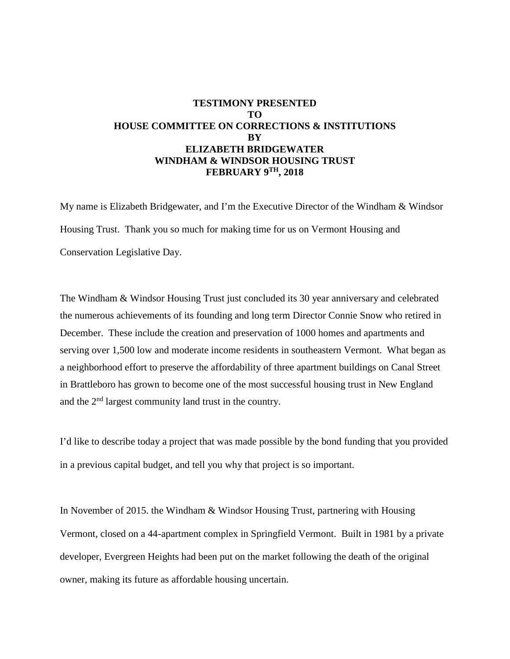## **TESTIMONY PRESENTED TO HOUSE COMMITTEE ON CORRECTIONS & INSTITUTIONS BY ELIZABETH BRIDGEWATER WINDHAM & WINDSOR HOUSING TRUST FEBRUARY 9TH, 2018**

My name is Elizabeth Bridgewater, and I'm the Executive Director of the Windham & Windsor Housing Trust. Thank you so much for making time for us on Vermont Housing and Conservation Legislative Day.

The Windham & Windsor Housing Trust just concluded its 30 year anniversary and celebrated the numerous achievements of its founding and long term Director Connie Snow who retired in December. These include the creation and preservation of 1000 homes and apartments and serving over 1,500 low and moderate income residents in southeastern Vermont. What began as a neighborhood effort to preserve the affordability of three apartment buildings on Canal Street in Brattleboro has grown to become one of the most successful housing trust in New England and the 2nd largest community land trust in the country.

I'd like to describe today a project that was made possible by the bond funding that you provided in a previous capital budget, and tell you why that project is so important.

In November of 2015. the Windham & Windsor Housing Trust, partnering with Housing Vermont, closed on a 44-apartment complex in Springfield Vermont. Built in 1981 by a private developer, Evergreen Heights had been put on the market following the death of the original owner, making its future as affordable housing uncertain.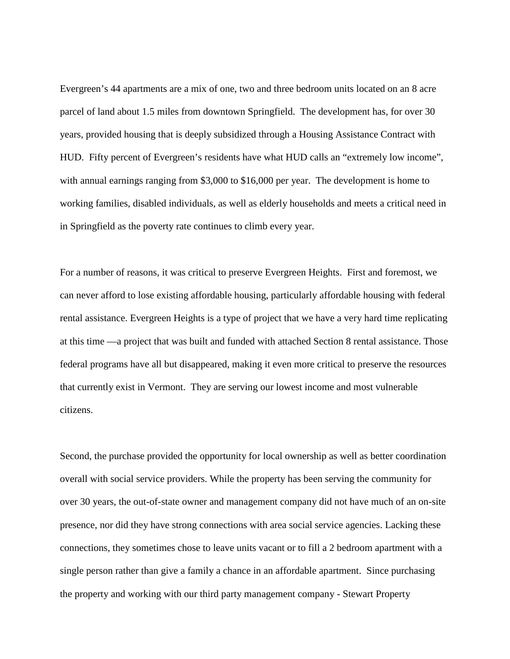Evergreen's 44 apartments are a mix of one, two and three bedroom units located on an 8 acre parcel of land about 1.5 miles from downtown Springfield. The development has, for over 30 years, provided housing that is deeply subsidized through a Housing Assistance Contract with HUD. Fifty percent of Evergreen's residents have what HUD calls an "extremely low income", with annual earnings ranging from \$3,000 to \$16,000 per year. The development is home to working families, disabled individuals, as well as elderly households and meets a critical need in in Springfield as the poverty rate continues to climb every year.

For a number of reasons, it was critical to preserve Evergreen Heights. First and foremost, we can never afford to lose existing affordable housing, particularly affordable housing with federal rental assistance. Evergreen Heights is a type of project that we have a very hard time replicating at this time —a project that was built and funded with attached Section 8 rental assistance. Those federal programs have all but disappeared, making it even more critical to preserve the resources that currently exist in Vermont. They are serving our lowest income and most vulnerable citizens.

Second, the purchase provided the opportunity for local ownership as well as better coordination overall with social service providers. While the property has been serving the community for over 30 years, the out-of-state owner and management company did not have much of an on-site presence, nor did they have strong connections with area social service agencies. Lacking these connections, they sometimes chose to leave units vacant or to fill a 2 bedroom apartment with a single person rather than give a family a chance in an affordable apartment. Since purchasing the property and working with our third party management company - Stewart Property